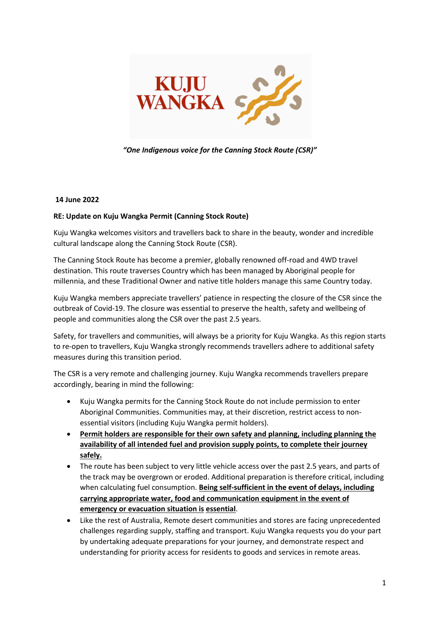

## *"One Indigenous voice for the Canning Stock Route (CSR)"*

## **14 June 2022**

## **RE: Update on Kuju Wangka Permit (Canning Stock Route)**

Kuju Wangka welcomes visitors and travellers back to share in the beauty, wonder and incredible cultural landscape along the Canning Stock Route (CSR).

The Canning Stock Route has become a premier, globally renowned off-road and 4WD travel destination. This route traverses Country which has been managed by Aboriginal people for millennia, and these Traditional Owner and native title holders manage this same Country today.

Kuju Wangka members appreciate travellers' patience in respecting the closure of the CSR since the outbreak of Covid-19. The closure was essential to preserve the health, safety and wellbeing of people and communities along the CSR over the past 2.5 years.

Safety, for travellers and communities, will always be a priority for Kuju Wangka. As this region starts to re-open to travellers, Kuju Wangka strongly recommends travellers adhere to additional safety measures during this transition period.

The CSR is a very remote and challenging journey. Kuju Wangka recommends travellers prepare accordingly, bearing in mind the following:

- Kuju Wangka permits for the Canning Stock Route do not include permission to enter Aboriginal Communities. Communities may, at their discretion, restrict access to nonessential visitors (including Kuju Wangka permit holders).
- **Permit holders are responsible for their own safety and planning, including planning the availability of all intended fuel and provision supply points, to complete their journey safely.**
- The route has been subject to very little vehicle access over the past 2.5 years, and parts of the track may be overgrown or eroded. Additional preparation is therefore critical, including when calculating fuel consumption. **Being self-sufficient in the event of delays, including carrying appropriate water, food and communication equipment in the event of emergency or evacuation situation is essential**.
- Like the rest of Australia, Remote desert communities and stores are facing unprecedented challenges regarding supply, staffing and transport. Kuju Wangka requests you do your part by undertaking adequate preparations for your journey, and demonstrate respect and understanding for priority access for residents to goods and services in remote areas.